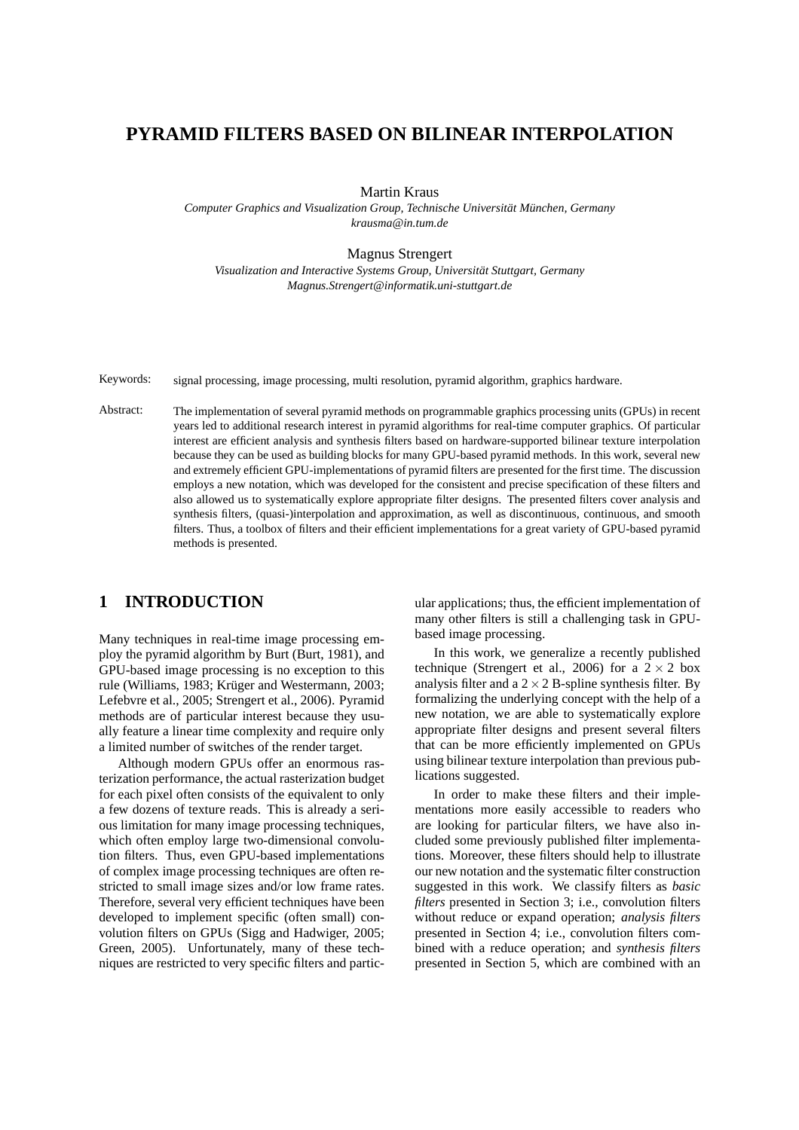# **PYRAMID FILTERS BASED ON BILINEAR INTERPOLATION**

Martin Kraus

*Computer Graphics and Visualization Group, Technische Universität München, Germany krausma@in.tum.de*

Magnus Strengert

*Visualization and Interactive Systems Group, Universitat Stuttgart, Germany ¨ Magnus.Strengert@informatik.uni-stuttgart.de*

Keywords: signal processing, image processing, multi resolution, pyramid algorithm, graphics hardware.

Abstract: The implementation of several pyramid methods on programmable graphics processing units (GPUs) in recent years led to additional research interest in pyramid algorithms for real-time computer graphics. Of particular interest are efficient analysis and synthesis filters based on hardware-supported bilinear texture interpolation because they can be used as building blocks for many GPU-based pyramid methods. In this work, several new and extremely efficient GPU-implementations of pyramid filters are presented for the first time. The discussion employs a new notation, which was developed for the consistent and precise specification of these filters and also allowed us to systematically explore appropriate filter designs. The presented filters cover analysis and synthesis filters, (quasi-)interpolation and approximation, as well as discontinuous, continuous, and smooth filters. Thus, a toolbox of filters and their efficient implementations for a great variety of GPU-based pyramid methods is presented.

# **1 INTRODUCTION**

Many techniques in real-time image processing employ the pyramid algorithm by Burt (Burt, 1981), and GPU-based image processing is no exception to this rule (Williams, 1983; Krüger and Westermann, 2003; Lefebvre et al., 2005; Strengert et al., 2006). Pyramid methods are of particular interest because they usually feature a linear time complexity and require only a limited number of switches of the render target.

Although modern GPUs offer an enormous rasterization performance, the actual rasterization budget for each pixel often consists of the equivalent to only a few dozens of texture reads. This is already a serious limitation for many image processing techniques, which often employ large two-dimensional convolution filters. Thus, even GPU-based implementations of complex image processing techniques are often restricted to small image sizes and/or low frame rates. Therefore, several very efficient techniques have been developed to implement specific (often small) convolution filters on GPUs (Sigg and Hadwiger, 2005; Green, 2005). Unfortunately, many of these techniques are restricted to very specific filters and partic-

ular applications; thus, the efficient implementation of many other filters is still a challenging task in GPUbased image processing.

In this work, we generalize a recently published technique (Strengert et al., 2006) for a  $2 \times 2$  box analysis filter and a  $2 \times 2$  B-spline synthesis filter. By formalizing the underlying concept with the help of a new notation, we are able to systematically explore appropriate filter designs and present several filters that can be more efficiently implemented on GPUs using bilinear texture interpolation than previous publications suggested.

In order to make these filters and their implementations more easily accessible to readers who are looking for particular filters, we have also included some previously published filter implementations. Moreover, these filters should help to illustrate our new notation and the systematic filter construction suggested in this work. We classify filters as *basic filters* presented in Section 3; i.e., convolution filters without reduce or expand operation; *analysis filters* presented in Section 4; i.e., convolution filters combined with a reduce operation; and *synthesis filters* presented in Section 5, which are combined with an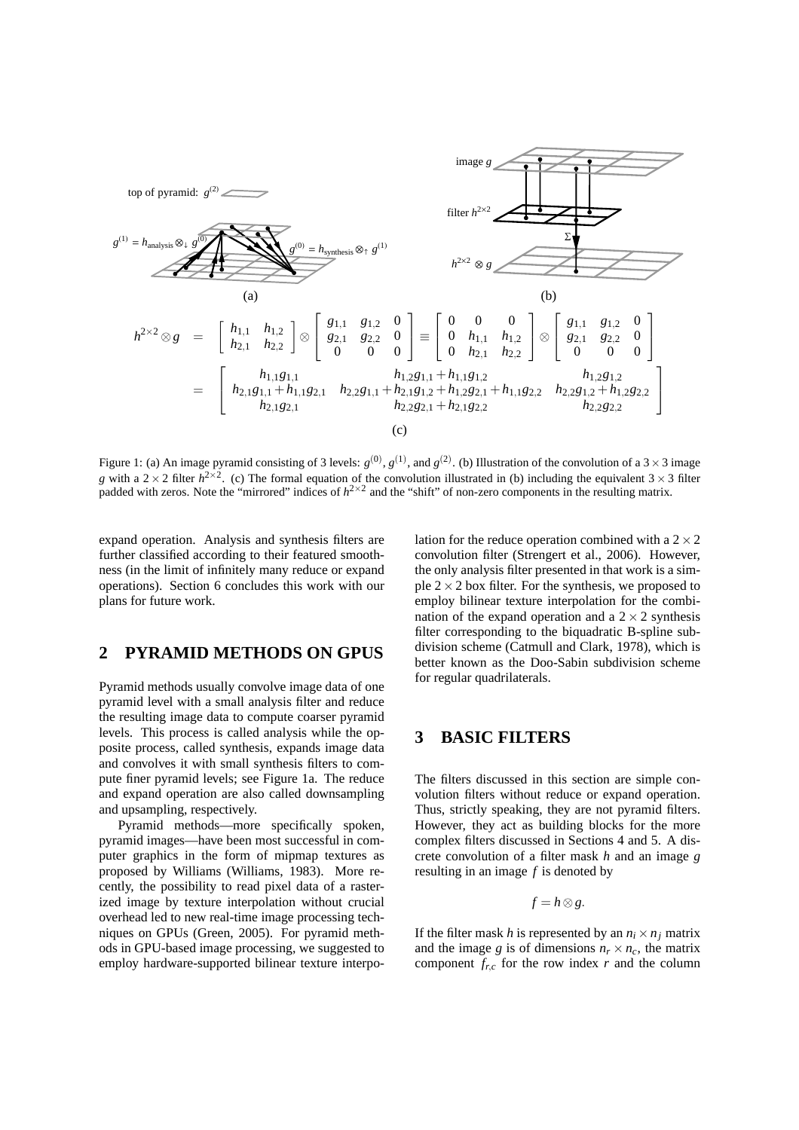

Figure 1: (a) An image pyramid consisting of 3 levels:  $g^{(0)}$ ,  $g^{(1)}$ , and  $g^{(2)}$ . (b) Illustration of the convolution of a 3 × 3 image *g* with a 2  $\times$  2 filter  $h^{2\times2}$ . (c) The formal equation of the convolution illustrated in (b) including the equivalent 3  $\times$  3 filter padded with zeros. Note the "mirrored" indices of  $h^{2\times 2}$  and the "shift" of non-zero components in the resulting matrix.

expand operation. Analysis and synthesis filters are further classified according to their featured smoothness (in the limit of infinitely many reduce or expand operations). Section 6 concludes this work with our plans for future work.

# **2 PYRAMID METHODS ON GPUS**

Pyramid methods usually convolve image data of one pyramid level with a small analysis filter and reduce the resulting image data to compute coarser pyramid levels. This process is called analysis while the opposite process, called synthesis, expands image data and convolves it with small synthesis filters to compute finer pyramid levels; see Figure 1a. The reduce and expand operation are also called downsampling and upsampling, respectively.

Pyramid methods—more specifically spoken, pyramid images—have been most successful in computer graphics in the form of mipmap textures as proposed by Williams (Williams, 1983). More recently, the possibility to read pixel data of a rasterized image by texture interpolation without crucial overhead led to new real-time image processing techniques on GPUs (Green, 2005). For pyramid methods in GPU-based image processing, we suggested to employ hardware-supported bilinear texture interpolation for the reduce operation combined with a  $2 \times 2$ convolution filter (Strengert et al., 2006). However, the only analysis filter presented in that work is a simple  $2 \times 2$  box filter. For the synthesis, we proposed to employ bilinear texture interpolation for the combination of the expand operation and a  $2 \times 2$  synthesis filter corresponding to the biquadratic B-spline subdivision scheme (Catmull and Clark, 1978), which is better known as the Doo-Sabin subdivision scheme for regular quadrilaterals.

# **3 BASIC FILTERS**

The filters discussed in this section are simple convolution filters without reduce or expand operation. Thus, strictly speaking, they are not pyramid filters. However, they act as building blocks for the more complex filters discussed in Sections 4 and 5. A discrete convolution of a filter mask *h* and an image *g* resulting in an image *f* is denoted by

$$
f=h\otimes g.
$$

If the filter mask *h* is represented by an  $n_i \times n_j$  matrix and the image *g* is of dimensions  $n_r \times n_c$ , the matrix component  $f_{rc}$  for the row index  $r$  and the column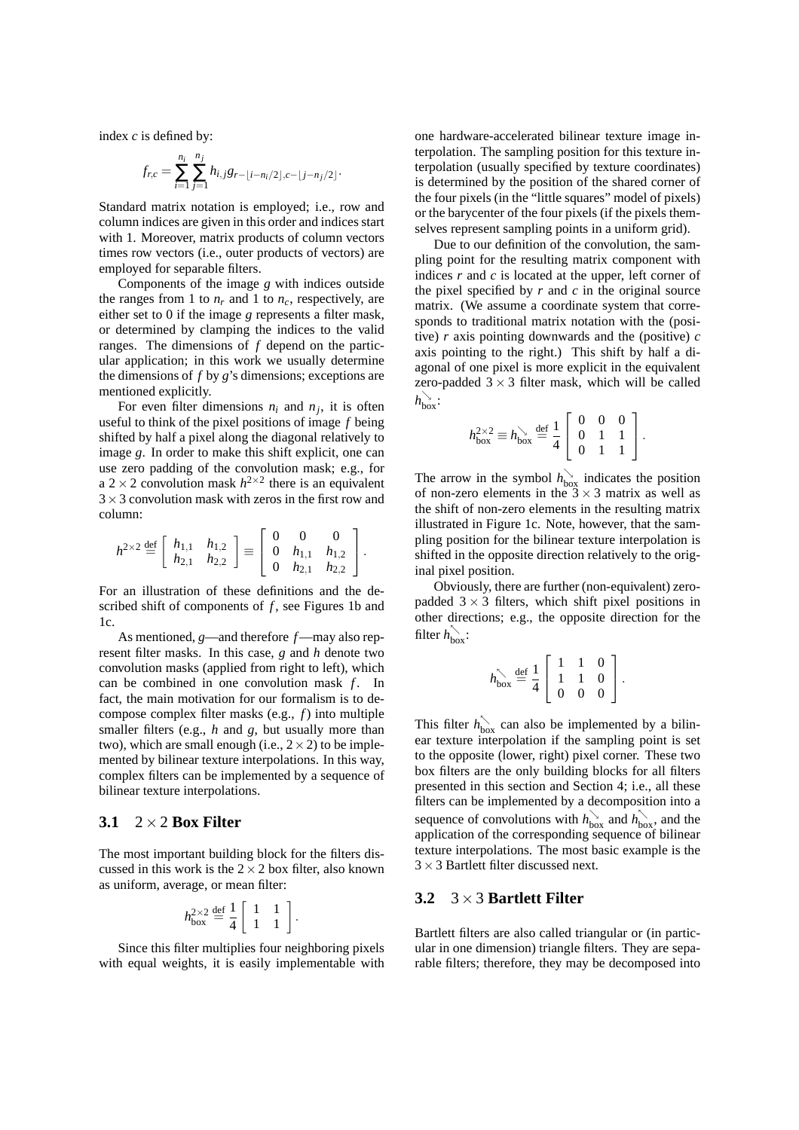index *c* is defined by:

$$
f_{r,c} = \sum_{i=1}^{n_i} \sum_{j=1}^{n_j} h_{i,j} g_{r-\lfloor i-n_i/2 \rfloor, c-\lfloor j-n_j/2 \rfloor}.
$$

Standard matrix notation is employed; i.e., row and column indices are given in this order and indices start with 1. Moreover, matrix products of column vectors times row vectors (i.e., outer products of vectors) are employed for separable filters.

Components of the image *g* with indices outside the ranges from 1 to  $n_r$  and 1 to  $n_c$ , respectively, are either set to 0 if the image *g* represents a filter mask, or determined by clamping the indices to the valid ranges. The dimensions of *f* depend on the particular application; in this work we usually determine the dimensions of *f* by *g*'s dimensions; exceptions are mentioned explicitly.

For even filter dimensions  $n_i$  and  $n_j$ , it is often useful to think of the pixel positions of image *f* being shifted by half a pixel along the diagonal relatively to image *g*. In order to make this shift explicit, one can use zero padding of the convolution mask; e.g., for a  $2 \times 2$  convolution mask  $h^{2 \times 2}$  there is an equivalent  $3 \times 3$  convolution mask with zeros in the first row and column:

$$
h^{2\times 2} \stackrel{\text{def}}{=} \left[ \begin{array}{cc} h_{1,1} & h_{1,2} \\ h_{2,1} & h_{2,2} \end{array} \right] \equiv \left[ \begin{array}{ccc} 0 & 0 & 0 \\ 0 & h_{1,1} & h_{1,2} \\ 0 & h_{2,1} & h_{2,2} \end{array} \right].
$$

For an illustration of these definitions and the described shift of components of *f*, see Figures 1b and 1c.

As mentioned, *g*—and therefore *f*—may also represent filter masks. In this case, *g* and *h* denote two convolution masks (applied from right to left), which can be combined in one convolution mask *f*. In fact, the main motivation for our formalism is to decompose complex filter masks (e.g., *f*) into multiple smaller filters (e.g., *h* and *g*, but usually more than two), which are small enough (i.e.,  $2 \times 2$ ) to be implemented by bilinear texture interpolations. In this way, complex filters can be implemented by a sequence of bilinear texture interpolations.

#### **3.1** 2×2 **Box Filter**

The most important building block for the filters discussed in this work is the  $2 \times 2$  box filter, also known as uniform, average, or mean filter:

$$
h_{\text{box}}^{2\times 2} \stackrel{\text{def}}{=} \frac{1}{4} \left[ \begin{array}{cc} 1 & 1 \\ 1 & 1 \end{array} \right].
$$

Since this filter multiplies four neighboring pixels with equal weights, it is easily implementable with one hardware-accelerated bilinear texture image interpolation. The sampling position for this texture interpolation (usually specified by texture coordinates) is determined by the position of the shared corner of the four pixels (in the "little squares" model of pixels) or the barycenter of the four pixels (if the pixels themselves represent sampling points in a uniform grid).

Due to our definition of the convolution, the sampling point for the resulting matrix component with indices *r* and *c* is located at the upper, left corner of the pixel specified by  $r$  and  $c$  in the original source matrix. (We assume a coordinate system that corresponds to traditional matrix notation with the (positive) *r* axis pointing downwards and the (positive) *c* axis pointing to the right.) This shift by half a diagonal of one pixel is more explicit in the equivalent zero-padded  $3 \times 3$  filter mask, which will be called  $h_{\text{box}}$ :

$$
h_{\text{box}}^{2\times 2} \equiv h_{\text{box}}^{\searrow} \stackrel{\text{def}}{=} \frac{1}{4} \left[ \begin{array}{ccc} 0 & 0 & 0 \\ 0 & 1 & 1 \\ 0 & 1 & 1 \end{array} \right].
$$

The arrow in the symbol  $h_{\text{box}}^{\searrow}$  indicates the position of non-zero elements in the  $3 \times 3$  matrix as well as the shift of non-zero elements in the resulting matrix illustrated in Figure 1c. Note, however, that the sampling position for the bilinear texture interpolation is shifted in the opposite direction relatively to the original pixel position.

Obviously, there are further (non-equivalent) zeropadded  $3 \times 3$  filters, which shift pixel positions in other directions; e.g., the opposite direction for the filter  $h_{\text{box}}^{\wedge}$ :

$$
h_{\text{box}}^{\nwarrow} \stackrel{\text{def}}{=} \frac{1}{4} \left[ \begin{array}{ccc} 1 & 1 & 0 \\ 1 & 1 & 0 \\ 0 & 0 & 0 \end{array} \right].
$$

This filter  $h_{\text{box}}^{\frown}$  can also be implemented by a bilinear texture interpolation if the sampling point is set to the opposite (lower, right) pixel corner. These two box filters are the only building blocks for all filters presented in this section and Section 4; i.e., all these filters can be implemented by a decomposition into a sequence of convolutions with  $h_{\text{box}}^{\setminus}$  and  $h_{\text{box}}^{\setminus}$ , and the application of the corresponding sequence of bilinear texture interpolations. The most basic example is the  $3 \times 3$  Bartlett filter discussed next.

#### **3.2** 3×3 **Bartlett Filter**

Bartlett filters are also called triangular or (in particular in one dimension) triangle filters. They are separable filters; therefore, they may be decomposed into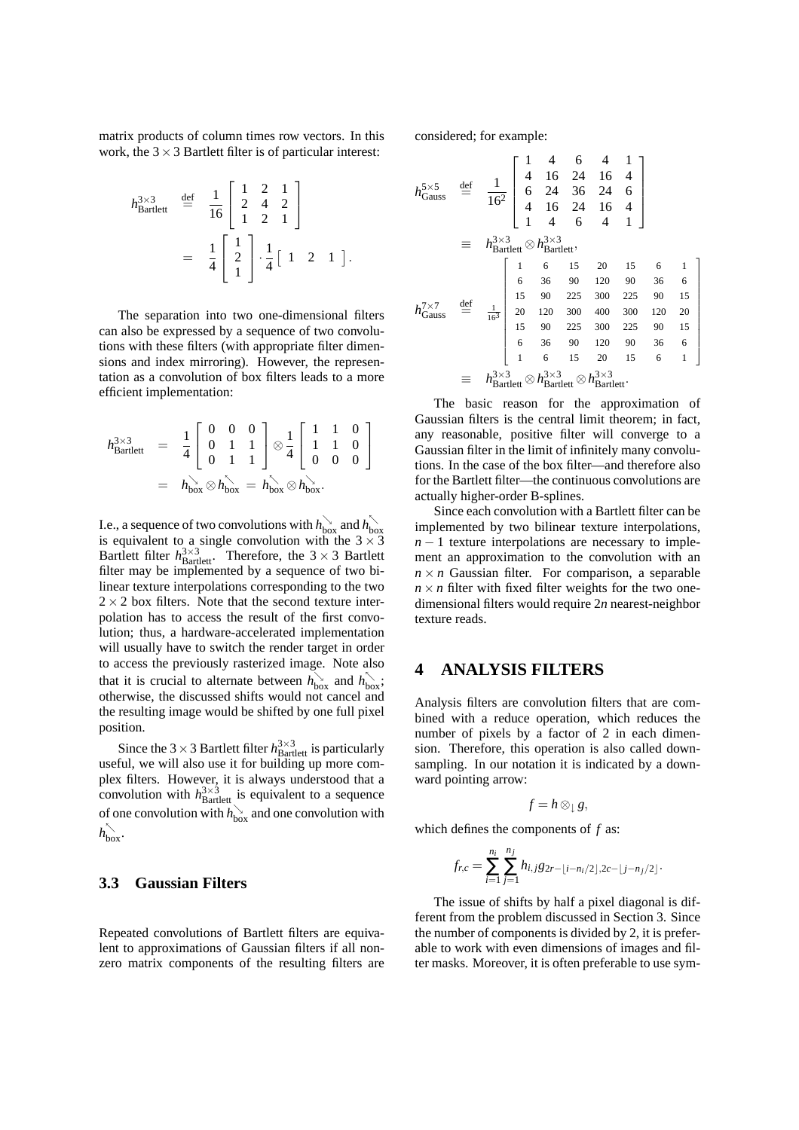matrix products of column times row vectors. In this work, the  $3 \times 3$  Bartlett filter is of particular interest:

$$
h_{\text{Bartlett}}^{3\times 3} \stackrel{\text{def}}{=} \frac{1}{16} \begin{bmatrix} 1 & 2 & 1 \\ 2 & 4 & 2 \\ 1 & 2 & 1 \end{bmatrix}
$$
  
=  $\frac{1}{4} \begin{bmatrix} 1 \\ 2 \\ 1 \end{bmatrix} \cdot \frac{1}{4} \begin{bmatrix} 1 & 2 & 1 \end{bmatrix}.$ 

The separation into two one-dimensional filters can also be expressed by a sequence of two convolutions with these filters (with appropriate filter dimensions and index mirroring). However, the representation as a convolution of box filters leads to a more efficient implementation:

$$
h_{\text{Bartlett}}^{3 \times 3} = \frac{1}{4} \begin{bmatrix} 0 & 0 & 0 \\ 0 & 1 & 1 \\ 0 & 1 & 1 \end{bmatrix} \otimes \frac{1}{4} \begin{bmatrix} 1 & 1 & 0 \\ 1 & 1 & 0 \\ 0 & 0 & 0 \end{bmatrix}
$$
  
=  $h_{\text{box}} \otimes h_{\text{box}} \otimes h_{\text{box}} \otimes h_{\text{box}} \otimes h_{\text{box}}.$ 

I.e., a sequence of two convolutions with  $h_{\text{box}}^{\searrow}$  and  $h_{\text{box}}^{\searrow}$ <br>is equivalent to a single convolution with the  $3 \times 3$ Bartlett filter  $h_{\text{Bartlett}}^{3\times3}$ . Therefore, the  $3\times3$  Bartlett filter may be implemented by a sequence of two bilinear texture interpolations corresponding to the two  $2 \times 2$  box filters. Note that the second texture interpolation has to access the result of the first convolution; thus, a hardware-accelerated implementation will usually have to switch the render target in order to access the previously rasterized image. Note also that it is crucial to alternate between  $h_{\text{box}}^{\setminus}$  and  $h_{\text{box}}^{\setminus}$ ; otherwise, the discussed shifts would not cancel and the resulting image would be shifted by one full pixel position.

Since the 3  $\times$  3 Bartlett filter  $h_{\text{Bartlett}}^{3\times3}$  is particularly useful, we will also use it for building up more complex filters. However, it is always understood that a convolution with  $h_{\text{Bartlett}}^{3\times3}$  is equivalent to a sequence of one convolution with  $h_{\text{box}}^{\searrow}$  and one convolution with  $h_{\text{box}}^{\wedge}$ .

#### **3.3 Gaussian Filters**

Repeated convolutions of Bartlett filters are equivalent to approximations of Gaussian filters if all nonzero matrix components of the resulting filters are considered; for example:

$$
h_{\text{Gauss}}^{5 \times 5} \stackrel{\text{def}}{=} \frac{1}{16^2} \begin{bmatrix} 1 & 4 & 6 & 4 & 1 \\ 4 & 16 & 24 & 16 & 4 \\ 6 & 24 & 36 & 24 & 6 \\ 4 & 16 & 24 & 16 & 4 \\ 1 & 4 & 6 & 4 & 1 \end{bmatrix}
$$
  
\n
$$
\equiv h_{\text{Bartlett}}^{3 \times 3} \otimes h_{\text{Bartlett}}^{3 \times 3},
$$
  
\n
$$
h_{\text{Gauss}}^{7 \times 7} \stackrel{\text{def}}{=} \frac{1}{16^3} \begin{bmatrix} 1 & 6 & 15 & 20 & 15 & 6 & 1 \\ 15 & 90 & 225 & 300 & 225 & 90 & 15 \\ 20 & 120 & 300 & 400 & 300 & 120 & 20 \\ 15 & 90 & 225 & 300 & 225 & 90 & 15 \\ 6 & 36 & 90 & 120 & 90 & 36 & 6 \\ 1 & 6 & 15 & 20 & 15 & 6 & 1 \end{bmatrix}
$$
  
\n
$$
\equiv h_{\text{Bartlett}}^{3 \times 3} \otimes h_{\text{Bartlett}}^{3 \times 3} \otimes h_{\text{Bartlett}}^{3 \times 3} \otimes h_{\text{Bartlett}}^{3 \times 3}
$$

The basic reason for the approximation of Gaussian filters is the central limit theorem; in fact, any reasonable, positive filter will converge to a Gaussian filter in the limit of infinitely many convolutions. In the case of the box filter—and therefore also for the Bartlett filter—the continuous convolutions are actually higher-order B-splines.

Since each convolution with a Bartlett filter can be implemented by two bilinear texture interpolations,  $n-1$  texture interpolations are necessary to implement an approximation to the convolution with an  $n \times n$  Gaussian filter. For comparison, a separable  $n \times n$  filter with fixed filter weights for the two onedimensional filters would require 2*n* nearest-neighbor texture reads.

### **4 ANALYSIS FILTERS**

Analysis filters are convolution filters that are combined with a reduce operation, which reduces the number of pixels by a factor of 2 in each dimension. Therefore, this operation is also called downsampling. In our notation it is indicated by a downward pointing arrow:

$$
f=h\otimes_{\downarrow}g,
$$

which defines the components of *f* as:

$$
f_{r,c} = \sum_{i=1}^{n_i} \sum_{j=1}^{n_j} h_{i,j} g_{2r - \lfloor i - n_i/2 \rfloor, 2c - \lfloor j - n_j/2 \rfloor}.
$$

The issue of shifts by half a pixel diagonal is different from the problem discussed in Section 3. Since the number of components is divided by 2, it is preferable to work with even dimensions of images and filter masks. Moreover, it is often preferable to use sym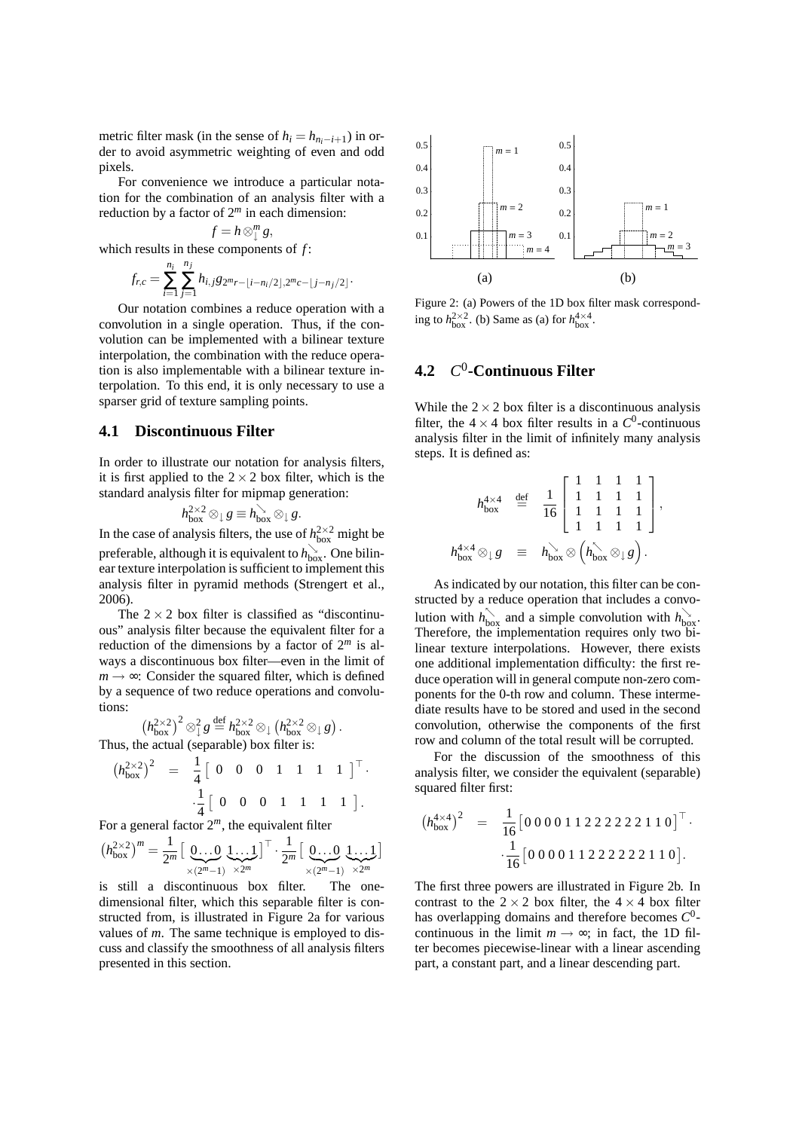metric filter mask (in the sense of  $h_i = h_{n_i - i + 1}$ ) in order to avoid asymmetric weighting of even and odd pixels.

For convenience we introduce a particular notation for the combination of an analysis filter with a reduction by a factor of 2*<sup>m</sup>* in each dimension:

$$
f=h\otimes_{\downarrow}^mg,
$$

which results in these components of *f* :

$$
f_{r,c} = \sum_{i=1}^{n_i} \sum_{j=1}^{n_j} h_{i,j} g_{2^m r - \lfloor i - n_i/2 \rfloor, 2^m c - \lfloor j - n_j/2 \rfloor}.
$$

Our notation combines a reduce operation with a convolution in a single operation. Thus, if the convolution can be implemented with a bilinear texture interpolation, the combination with the reduce operation is also implementable with a bilinear texture interpolation. To this end, it is only necessary to use a sparser grid of texture sampling points.

#### **4.1 Discontinuous Filter**

In order to illustrate our notation for analysis filters, it is first applied to the  $2 \times 2$  box filter, which is the standard analysis filter for mipmap generation:

$$
h_{\rm box}^{2\times 2}\otimes_\downarrow g\equiv h_{\rm box}^{\searrow}\otimes_\downarrow g.
$$

In the case of analysis filters, the use of  $h_{\text{box}}^{2\times 2}$  might be preferable, although it is equivalent to  $h^{\searrow}_{\text{box}}$ . One bilinear texture interpolation is sufficient to implement this analysis filter in pyramid methods (Strengert et al., 2006).

The  $2 \times 2$  box filter is classified as "discontinuous" analysis filter because the equivalent filter for a reduction of the dimensions by a factor of 2*<sup>m</sup>* is always a discontinuous box filter—even in the limit of  $m \rightarrow \infty$ : Consider the squared filter, which is defined by a sequence of two reduce operations and convolutions:

$$
\left(h_{\text{box}}^{2\times2}\right)^2 \otimes_{\downarrow}^2 g \stackrel{\text{def}}{=} h_{\text{box}}^{2\times2} \otimes_{\downarrow} \left(h_{\text{box}}^{2\times2} \otimes_{\downarrow} g\right).
$$
\nThus, the actual (separable) box filter is:

$$
\left(h_{\text{box}}^{2\times2}\right)^2 = \frac{1}{4} \left[ \begin{array}{cccccc} 0 & 0 & 0 & 1 & 1 & 1 & 1 \end{array} \right]^{\top} \cdot \frac{1}{4} \left[ \begin{array}{cccccc} 0 & 0 & 0 & 1 & 1 & 1 & 1 \end{array} \right]^{\top}.
$$

For a general factor  $2^m$ , the equivalent filter

$$
\left(h_{\text{box}}^{2\times2}\right)^m = \frac{1}{2^m}\left[\underbrace{0\ldots 0}_{\times(2^m-1)}\underbrace{1\ldots 1}_{\times 2^m}\right]^{\top}\cdot \frac{1}{2^m}\left[\underbrace{0\ldots 0}_{\times(2^m-1)}\underbrace{1\ldots 1}_{\times 2^m}\right]
$$

is still a discontinuous box filter. The onedimensional filter, which this separable filter is constructed from, is illustrated in Figure 2a for various values of *m*. The same technique is employed to discuss and classify the smoothness of all analysis filters presented in this section.



Figure 2: (a) Powers of the 1D box filter mask corresponding to  $h_{\text{box}}^{2\times 2}$ . (b) Same as (a) for  $h_{\text{box}}^{4\times 4}$ .

#### **4.2** *C* 0 **-Continuous Filter**

While the  $2 \times 2$  box filter is a discontinuous analysis filter, the  $4 \times 4$  box filter results in a  $C^0$ -continuous analysis filter in the limit of infinitely many analysis steps. It is defined as:

$$
h_{\text{box}}^{4\times4} \stackrel{\text{def}}{=} \frac{1}{16} \begin{bmatrix} 1 & 1 & 1 & 1 \\ 1 & 1 & 1 & 1 \\ 1 & 1 & 1 & 1 \\ 1 & 1 & 1 & 1 \end{bmatrix},
$$
  

$$
h_{\text{box}}^{4\times4} \otimes_{\downarrow} g \equiv h_{\text{box}} \otimes \left( h_{\text{box}} \otimes_{\downarrow} g \right).
$$

As indicated by our notation, this filter can be constructed by a reduce operation that includes a convolution with  $h_{\text{box}}^{\nwarrow}$  and a simple convolution with  $h_{\text{box}}^{\nwarrow}$ . Therefore, the implementation requires only two bilinear texture interpolations. However, there exists one additional implementation difficulty: the first reduce operation will in general compute non-zero components for the 0-th row and column. These intermediate results have to be stored and used in the second convolution, otherwise the components of the first row and column of the total result will be corrupted.

For the discussion of the smoothness of this analysis filter, we consider the equivalent (separable) squared filter first:

$$
(h_{\text{box}}^{4\times4})^2 = \frac{1}{16} [0\ 0\ 0\ 0\ 1\ 1\ 2\ 2\ 2\ 2\ 2\ 2\ 1\ 1\ 0]^{\top} \cdot \cdot \frac{1}{16} [0\ 0\ 0\ 0\ 1\ 1\ 2\ 2\ 2\ 2\ 2\ 2\ 1\ 1\ 0].
$$

The first three powers are illustrated in Figure 2b. In contrast to the  $2 \times 2$  box filter, the  $4 \times 4$  box filter has overlapping domains and therefore becomes *C* 0 continuous in the limit  $m \rightarrow \infty$ ; in fact, the 1D filter becomes piecewise-linear with a linear ascending part, a constant part, and a linear descending part.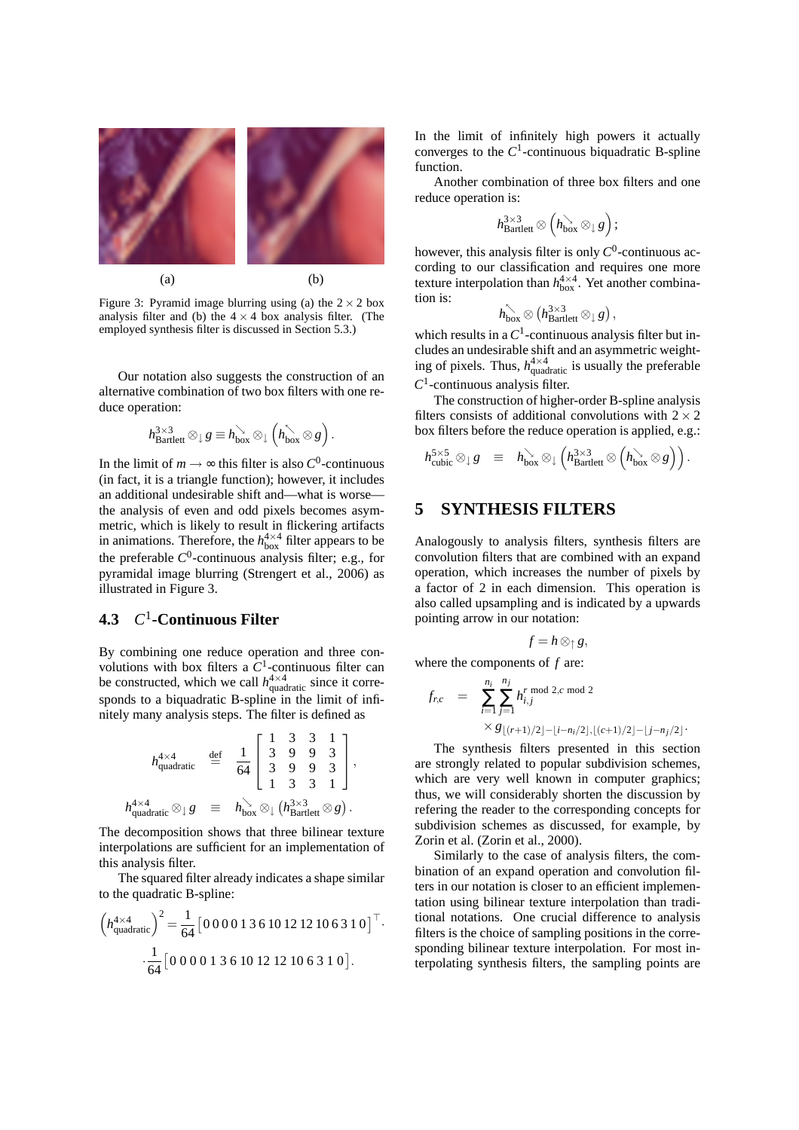

Figure 3: Pyramid image blurring using (a) the  $2 \times 2$  box analysis filter and (b) the  $4 \times 4$  box analysis filter. (The employed synthesis filter is discussed in Section 5.3.)

Our notation also suggests the construction of an alternative combination of two box filters with one reduce operation:

$$
h^{3\times 3}_{\text{Bartlett}}\otimes_{\downarrow} g\equiv h^{\searrow}_{\text{box}}\otimes_{\downarrow}\left(h^{\nwarrow}_{\text{box}}\otimes g\right).
$$

In the limit of  $m \to \infty$  this filter is also  $C^0$ -continuous (in fact, it is a triangle function); however, it includes an additional undesirable shift and—what is worse the analysis of even and odd pixels becomes asymmetric, which is likely to result in flickering artifacts in animations. Therefore, the  $h_{\text{box}}^{4\times4}$  filter appears to be the preferable *C* 0 -continuous analysis filter; e.g., for pyramidal image blurring (Strengert et al., 2006) as illustrated in Figure 3.

# **4.3** *C* 1 **-Continuous Filter**

By combining one reduce operation and three convolutions with box filters a  $C<sup>1</sup>$ -continuous filter can be constructed, which we call  $h_{\text{quadratic}}^{4\times4}$  since it corresponds to a biquadratic B-spline in the limit of infinitely many analysis steps. The filter is defined as

$$
h_{\text{quadratic}}^{4\times4} \stackrel{\text{def}}{=} \frac{1}{64} \begin{bmatrix} 1 & 3 & 3 & 1 \\ 3 & 9 & 9 & 3 \\ 3 & 9 & 9 & 3 \\ 1 & 3 & 3 & 1 \end{bmatrix},
$$
  

$$
h_{\text{quadratic}}^{4\times4} \otimes_{\downarrow} g \stackrel{\text{def}}{=} h_{\text{box}}^{\searrow} \otimes_{\downarrow} (h_{\text{Bartlett}}^{3\times3} \otimes g).
$$

The decomposition shows that three bilinear texture interpolations are sufficient for an implementation of this analysis filter.

The squared filter already indicates a shape similar to the quadratic B-spline:

$$
\left(h_{\text{quadratic}}^{4\times4}\right)^{2} = \frac{1}{64} \left[0\,0\,0\,0\,1\,3\,6\,10\,12\,12\,10\,6\,3\,1\,0\right]^{\top}.
$$

$$
\cdot \frac{1}{64} \left[0\,0\,0\,0\,1\,3\,6\,10\,12\,12\,10\,6\,3\,1\,0\right].
$$

In the limit of infinitely high powers it actually converges to the  $C^1$ -continuous biquadratic B-spline function.

Another combination of three box filters and one reduce operation is:

$$
h_{\text{Bartlett}}^{3\times3}\otimes \left(h_{\text{box}}^{\searrow}\otimes_{\downarrow} g\right);
$$

however, this analysis filter is only  $C^0$ -continuous according to our classification and requires one more texture interpolation than  $h_{\text{box}}^{4\times4}$ . Yet another combination is:

$$
h^{\nwarrow}_{\text{box}} \otimes \left( h^{3 \times 3}_{\text{Bartlett}} \otimes_{\downarrow} g \right),
$$

which results in a  $C^1$ -continuous analysis filter but includes an undesirable shift and an asymmetric weighting of pixels. Thus,  $h_{\text{quadratic}}^{4 \times 4}$  is usually the preferable  $C<sup>1</sup>$ -continuous analysis filter.

The construction of higher-order B-spline analysis filters consists of additional convolutions with  $2 \times 2$ box filters before the reduce operation is applied, e.g.:

$$
h_{\text{cubic}}^{5\times 5}\otimes_{\downarrow} g \equiv h_{\text{box}}^{\searrow}\otimes_{\downarrow} \left(h_{\text{Bartlett}}^{3\times 3}\otimes \left(h_{\text{box}}^{\searrow}\otimes g\right)\right).
$$

### **5 SYNTHESIS FILTERS**

Analogously to analysis filters, synthesis filters are convolution filters that are combined with an expand operation, which increases the number of pixels by a factor of 2 in each dimension. This operation is also called upsampling and is indicated by a upwards pointing arrow in our notation:

$$
f=h\otimes_{\uparrow} g,
$$

where the components of *f* are:

$$
f_{r,c} = \sum_{i=1}^{n_i} \sum_{j=1}^{n_j} h_{i,j}^{r \mod 2, c \mod 2}
$$
  
 
$$
\times g_{\lfloor (r+1)/2 \rfloor - \lfloor i - n_i/2 \rfloor, \lfloor (c+1)/2 \rfloor - \lfloor j - n_j/2 \rfloor}.
$$

The synthesis filters presented in this section are strongly related to popular subdivision schemes, which are very well known in computer graphics; thus, we will considerably shorten the discussion by refering the reader to the corresponding concepts for subdivision schemes as discussed, for example, by Zorin et al. (Zorin et al., 2000).

Similarly to the case of analysis filters, the combination of an expand operation and convolution filters in our notation is closer to an efficient implementation using bilinear texture interpolation than traditional notations. One crucial difference to analysis filters is the choice of sampling positions in the corresponding bilinear texture interpolation. For most interpolating synthesis filters, the sampling points are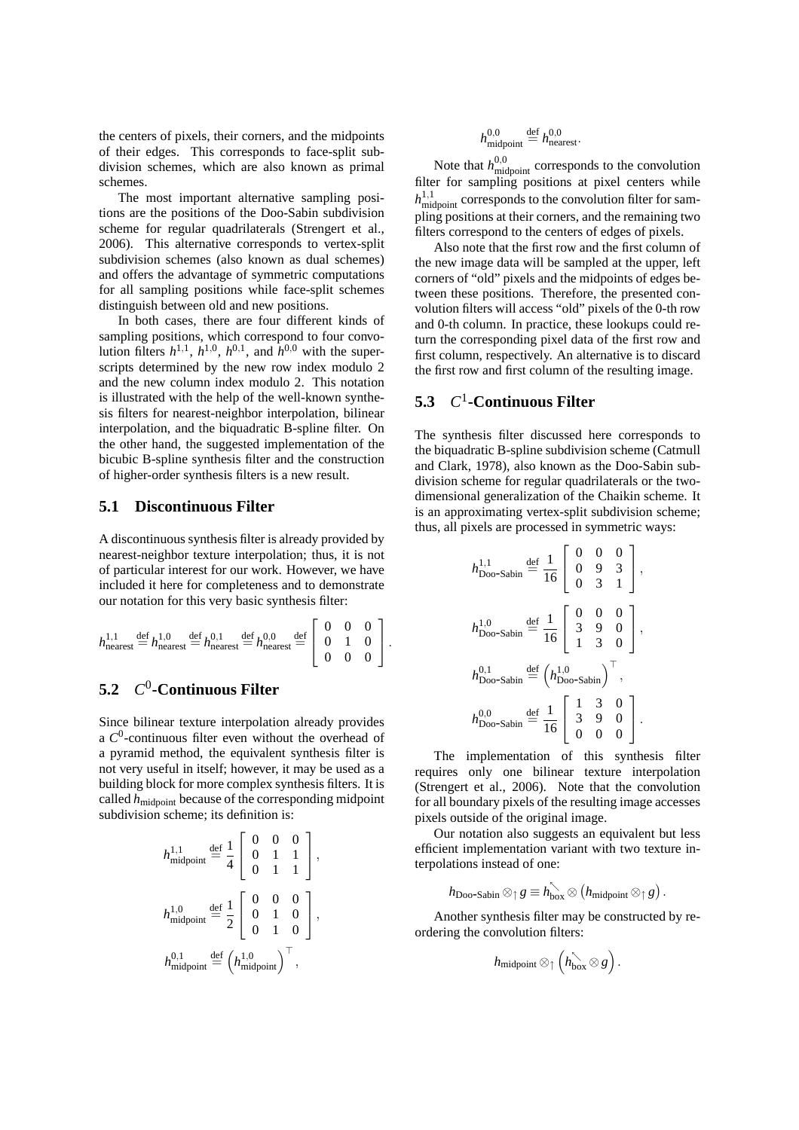the centers of pixels, their corners, and the midpoints of their edges. This corresponds to face-split subdivision schemes, which are also known as primal schemes.

The most important alternative sampling positions are the positions of the Doo-Sabin subdivision scheme for regular quadrilaterals (Strengert et al., 2006). This alternative corresponds to vertex-split subdivision schemes (also known as dual schemes) and offers the advantage of symmetric computations for all sampling positions while face-split schemes distinguish between old and new positions.

In both cases, there are four different kinds of sampling positions, which correspond to four convolution filters  $h^{1,1}$ ,  $h^{1,0}$ ,  $h^{0,1}$ , and  $h^{0,0}$  with the superscripts determined by the new row index modulo 2 and the new column index modulo 2. This notation is illustrated with the help of the well-known synthesis filters for nearest-neighbor interpolation, bilinear interpolation, and the biquadratic B-spline filter. On the other hand, the suggested implementation of the bicubic B-spline synthesis filter and the construction of higher-order synthesis filters is a new result.

#### **5.1 Discontinuous Filter**

A discontinuous synthesis filter is already provided by nearest-neighbor texture interpolation; thus, it is not of particular interest for our work. However, we have included it here for completeness and to demonstrate our notation for this very basic synthesis filter:

$$
h_{\text{nearest}}^{1,1} \stackrel{\text{def}}{=} h_{\text{nearest}}^{1,0} \stackrel{\text{def}}{=} h_{\text{nearest}}^{0,1} \stackrel{\text{def}}{=} h_{\text{nearest}}^{0,0} \stackrel{\text{def}}{=} \begin{bmatrix} 0 & 0 & 0 \\ 0 & 1 & 0 \\ 0 & 0 & 0 \end{bmatrix}.
$$

#### **5.2** *C* 0 **-Continuous Filter**

Since bilinear texture interpolation already provides a *C* 0 -continuous filter even without the overhead of a pyramid method, the equivalent synthesis filter is not very useful in itself; however, it may be used as a building block for more complex synthesis filters. It is called *h*midpoint because of the corresponding midpoint subdivision scheme; its definition is:

$$
h_{\text{midpoint}}^{1,1} \stackrel{\text{def}}{=} \frac{1}{4} \left[ \begin{array}{ccc} 0 & 0 & 0 \\ 0 & 1 & 1 \\ 0 & 1 & 1 \end{array} \right],
$$
  

$$
h_{\text{midpoint}}^{1,0} \stackrel{\text{def}}{=} \frac{1}{2} \left[ \begin{array}{ccc} 0 & 0 & 0 \\ 0 & 1 & 0 \\ 0 & 1 & 0 \end{array} \right],
$$
  

$$
h_{\text{midpoint}}^{0,1} \stackrel{\text{def}}{=} \left( h_{\text{midpoint}}^{1,0} \right)^\top,
$$

$$
h_{\text{midpoint}}^{0,0}\stackrel{\text{def}}{=} h_{\text{nearest}}^{0,0}.
$$

Note that  $h_{\text{midpoint}}^{0,0}$  corresponds to the convolution filter for sampling positions at pixel centers while  $h_{\text{midpoint}}^{1,1}$  corresponds to the convolution filter for sampling positions at their corners, and the remaining two filters correspond to the centers of edges of pixels.

Also note that the first row and the first column of the new image data will be sampled at the upper, left corners of "old" pixels and the midpoints of edges between these positions. Therefore, the presented convolution filters will access "old" pixels of the 0-th row and 0-th column. In practice, these lookups could return the corresponding pixel data of the first row and first column, respectively. An alternative is to discard the first row and first column of the resulting image.

# **5.3** *C* 1 **-Continuous Filter**

The synthesis filter discussed here corresponds to the biquadratic B-spline subdivision scheme (Catmull and Clark, 1978), also known as the Doo-Sabin subdivision scheme for regular quadrilaterals or the twodimensional generalization of the Chaikin scheme. It is an approximating vertex-split subdivision scheme; thus, all pixels are processed in symmetric ways:

$$
h_{\text{Doo-Sabin}}^{1,1} \stackrel{\text{def}}{=} \frac{1}{16} \begin{bmatrix} 0 & 0 & 0 \\ 0 & 9 & 3 \\ 0 & 3 & 1 \end{bmatrix},
$$
  
\n
$$
h_{\text{Doo-Sabin}}^{1,0} \stackrel{\text{def}}{=} \frac{1}{16} \begin{bmatrix} 0 & 0 & 0 \\ 3 & 9 & 0 \\ 1 & 3 & 0 \end{bmatrix},
$$
  
\n
$$
h_{\text{Doo-Sabin}}^{0,1} \stackrel{\text{def}}{=} \left( h_{\text{Doo-Sabin}}^{1,0} \right)^{\top},
$$
  
\n
$$
h_{\text{Doo-Sabin}}^{0,0} \stackrel{\text{def}}{=} \frac{1}{16} \begin{bmatrix} 1 & 3 & 0 \\ 3 & 9 & 0 \\ 0 & 0 & 0 \end{bmatrix}.
$$

The implementation of this synthesis filter requires only one bilinear texture interpolation (Strengert et al., 2006). Note that the convolution for all boundary pixels of the resulting image accesses pixels outside of the original image.

Our notation also suggests an equivalent but less efficient implementation variant with two texture interpolations instead of one:

$$
h_{\text{Doo-Sabin}}\otimes_{\uparrow} g\equiv h_{\text{box}}^{\nwarrow}\otimes \left(h_{\text{midpoint}}\otimes_{\uparrow} g\right).
$$

Another synthesis filter may be constructed by reordering the convolution filters:

$$
h_{\mathrm{midpoint}}\otimes_{\uparrow}\left(h_{\mathrm{box}}^{\nwarrow}\otimes g\right).
$$